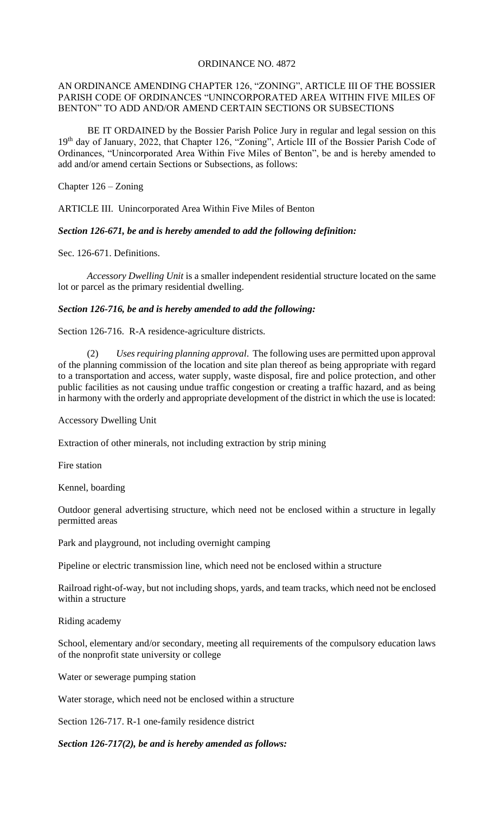## ORDINANCE NO. 4872

## AN ORDINANCE AMENDING CHAPTER 126, "ZONING", ARTICLE III OF THE BOSSIER PARISH CODE OF ORDINANCES "UNINCORPORATED AREA WITHIN FIVE MILES OF BENTON" TO ADD AND/OR AMEND CERTAIN SECTIONS OR SUBSECTIONS

 BE IT ORDAINED by the Bossier Parish Police Jury in regular and legal session on this 19th day of January, 2022, that Chapter 126, "Zoning", Article III of the Bossier Parish Code of Ordinances, "Unincorporated Area Within Five Miles of Benton", be and is hereby amended to add and/or amend certain Sections or Subsections, as follows:

Chapter 126 – Zoning

ARTICLE III. Unincorporated Area Within Five Miles of Benton

*Section 126-671, be and is hereby amended to add the following definition:*

Sec. 126-671. Definitions.

*Accessory Dwelling Unit* is a smaller independent residential structure located on the same lot or parcel as the primary residential dwelling.

## *Section 126-716, be and is hereby amended to add the following:*

Section 126-716. R-A residence-agriculture districts.

(2) *Uses requiring planning approval*. The following uses are permitted upon approval of the planning commission of the location and site plan thereof as being appropriate with regard to a transportation and access, water supply, waste disposal, fire and police protection, and other public facilities as not causing undue traffic congestion or creating a traffic hazard, and as being in harmony with the orderly and appropriate development of the district in which the use is located:

Accessory Dwelling Unit

Extraction of other minerals, not including extraction by strip mining

Fire station

Kennel, boarding

Outdoor general advertising structure, which need not be enclosed within a structure in legally permitted areas

Park and playground, not including overnight camping

Pipeline or electric transmission line, which need not be enclosed within a structure

Railroad right-of-way, but not including shops, yards, and team tracks, which need not be enclosed within a structure

Riding academy

School, elementary and/or secondary, meeting all requirements of the compulsory education laws of the nonprofit state university or college

Water or sewerage pumping station

Water storage, which need not be enclosed within a structure

Section 126-717. R-1 one-family residence district

*Section 126-717(2), be and is hereby amended as follows:*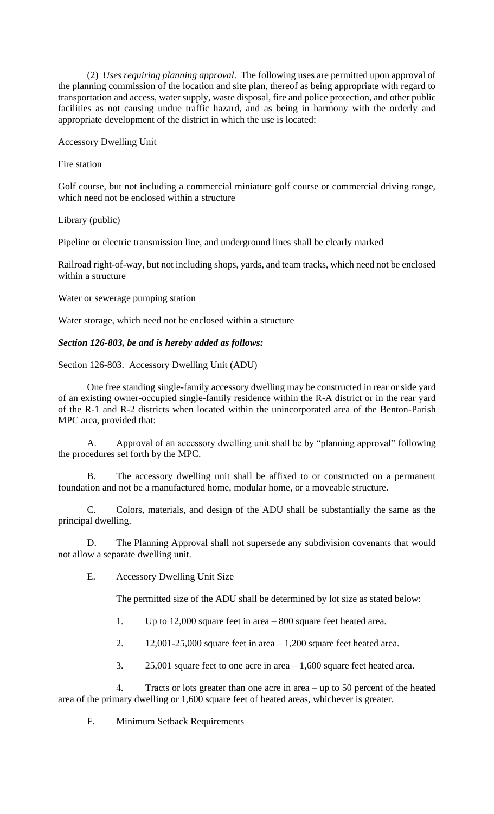(2) *Uses requiring planning approval*. The following uses are permitted upon approval of the planning commission of the location and site plan, thereof as being appropriate with regard to transportation and access, water supply, waste disposal, fire and police protection, and other public facilities as not causing undue traffic hazard, and as being in harmony with the orderly and appropriate development of the district in which the use is located:

Accessory Dwelling Unit

Fire station

Golf course, but not including a commercial miniature golf course or commercial driving range, which need not be enclosed within a structure

Library (public)

Pipeline or electric transmission line, and underground lines shall be clearly marked

Railroad right-of-way, but not including shops, yards, and team tracks, which need not be enclosed within a structure

Water or sewerage pumping station

Water storage, which need not be enclosed within a structure

## *Section 126-803, be and is hereby added as follows:*

Section 126-803. Accessory Dwelling Unit (ADU)

One free standing single-family accessory dwelling may be constructed in rear or side yard of an existing owner-occupied single-family residence within the R-A district or in the rear yard of the R-1 and R-2 districts when located within the unincorporated area of the Benton-Parish MPC area, provided that:

A. Approval of an accessory dwelling unit shall be by "planning approval" following the procedures set forth by the MPC.

B. The accessory dwelling unit shall be affixed to or constructed on a permanent foundation and not be a manufactured home, modular home, or a moveable structure.

C. Colors, materials, and design of the ADU shall be substantially the same as the principal dwelling.

D. The Planning Approval shall not supersede any subdivision covenants that would not allow a separate dwelling unit.

E. Accessory Dwelling Unit Size

The permitted size of the ADU shall be determined by lot size as stated below:

- 1. Up to 12,000 square feet in area 800 square feet heated area.
- 2. 12,001-25,000 square feet in area  $-1,200$  square feet heated area.
- 3.  $25,001$  square feet to one acre in area  $-1,600$  square feet heated area.

4. Tracts or lots greater than one acre in area – up to 50 percent of the heated area of the primary dwelling or 1,600 square feet of heated areas, whichever is greater.

F. Minimum Setback Requirements